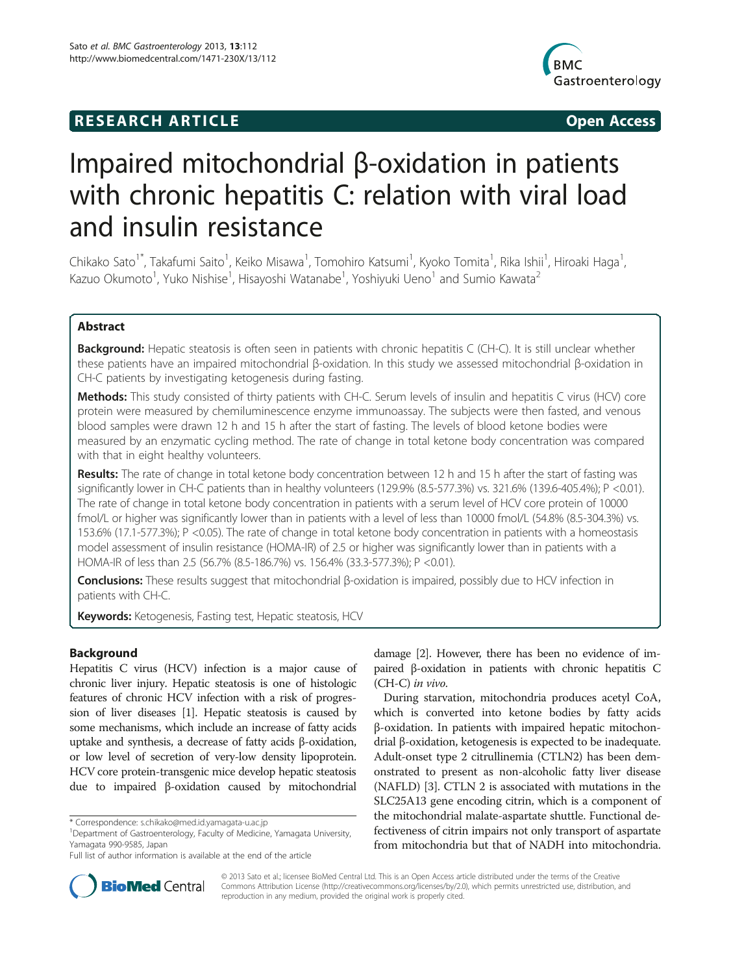## **RESEARCH ARTICLE Example 2014 12:30 The SEAR CHA RESEARCH ARTICLE**



# Impaired mitochondrial β-oxidation in patients with chronic hepatitis C: relation with viral load and insulin resistance

Chikako Sato<sup>1\*</sup>, Takafumi Saito<sup>1</sup>, Keiko Misawa<sup>1</sup>, Tomohiro Katsumi<sup>1</sup>, Kyoko Tomita<sup>1</sup>, Rika Ishii<sup>1</sup>, Hiroaki Haga<sup>1</sup> , Kazuo Okumoto<sup>1</sup>, Yuko Nishise<sup>1</sup>, Hisayoshi Watanabe<sup>1</sup>, Yoshiyuki Ueno<sup>1</sup> and Sumio Kawata<sup>2</sup>

## Abstract

Background: Hepatic steatosis is often seen in patients with chronic hepatitis C (CH-C). It is still unclear whether these patients have an impaired mitochondrial β-oxidation. In this study we assessed mitochondrial β-oxidation in CH-C patients by investigating ketogenesis during fasting.

Methods: This study consisted of thirty patients with CH-C. Serum levels of insulin and hepatitis C virus (HCV) core protein were measured by chemiluminescence enzyme immunoassay. The subjects were then fasted, and venous blood samples were drawn 12 h and 15 h after the start of fasting. The levels of blood ketone bodies were measured by an enzymatic cycling method. The rate of change in total ketone body concentration was compared with that in eight healthy volunteers.

Results: The rate of change in total ketone body concentration between 12 h and 15 h after the start of fasting was significantly lower in CH-C patients than in healthy volunteers (129.9% (8.5-577.3%) vs. 321.6% (139.6-405.4%); P <0.01). The rate of change in total ketone body concentration in patients with a serum level of HCV core protein of 10000 fmol/L or higher was significantly lower than in patients with a level of less than 10000 fmol/L (54.8% (8.5-304.3%) vs. 153.6% (17.1-577.3%); P <0.05). The rate of change in total ketone body concentration in patients with a homeostasis model assessment of insulin resistance (HOMA-IR) of 2.5 or higher was significantly lower than in patients with a HOMA-IR of less than 2.5 (56.7% (8.5-186.7%) vs. 156.4% (33.3-577.3%); P <0.01).

Conclusions: These results suggest that mitochondrial β-oxidation is impaired, possibly due to HCV infection in patients with CH-C.

Keywords: Ketogenesis, Fasting test, Hepatic steatosis, HCV

### Background

Hepatitis C virus (HCV) infection is a major cause of chronic liver injury. Hepatic steatosis is one of histologic features of chronic HCV infection with a risk of progression of liver diseases [\[1\]](#page-7-0). Hepatic steatosis is caused by some mechanisms, which include an increase of fatty acids uptake and synthesis, a decrease of fatty acids β-oxidation, or low level of secretion of very-low density lipoprotein. HCV core protein-transgenic mice develop hepatic steatosis due to impaired β-oxidation caused by mitochondrial

damage [\[2\]](#page-7-0). However, there has been no evidence of impaired β-oxidation in patients with chronic hepatitis C (CH-C) in vivo.

During starvation, mitochondria produces acetyl CoA, which is converted into ketone bodies by fatty acids β-oxidation. In patients with impaired hepatic mitochondrial β-oxidation, ketogenesis is expected to be inadequate. Adult-onset type 2 citrullinemia (CTLN2) has been demonstrated to present as non-alcoholic fatty liver disease (NAFLD) [[3\]](#page-7-0). CTLN 2 is associated with mutations in the SLC25A13 gene encoding citrin, which is a component of the mitochondrial malate-aspartate shuttle. Functional defectiveness of citrin impairs not only transport of aspartate from mitochondria but that of NADH into mitochondria.



© 2013 Sato et al.; licensee BioMed Central Ltd. This is an Open Access article distributed under the terms of the Creative Commons Attribution License [\(http://creativecommons.org/licenses/by/2.0\)](http://creativecommons.org/licenses/by/2.0), which permits unrestricted use, distribution, and reproduction in any medium, provided the original work is properly cited.

<sup>\*</sup> Correspondence: [s.chikako@med.id.yamagata-u.ac.jp](mailto:s.chikako@med.id.yamagata-u.ac.jp) <sup>1</sup>

<sup>&</sup>lt;sup>1</sup>Department of Gastroenterology, Faculty of Medicine, Yamagata University, Yamagata 990-9585, Japan

Full list of author information is available at the end of the article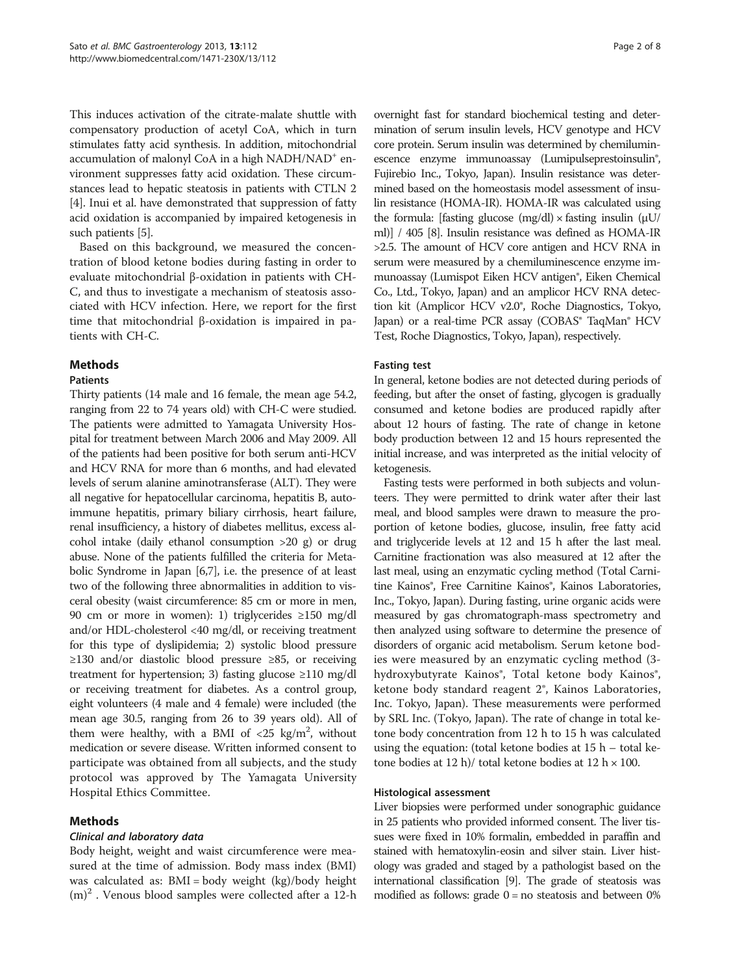This induces activation of the citrate-malate shuttle with compensatory production of acetyl CoA, which in turn stimulates fatty acid synthesis. In addition, mitochondrial accumulation of malonyl CoA in a high NADH/NAD<sup>+</sup> environment suppresses fatty acid oxidation. These circumstances lead to hepatic steatosis in patients with CTLN 2 [[4\]](#page-7-0). Inui et al. have demonstrated that suppression of fatty acid oxidation is accompanied by impaired ketogenesis in such patients [[5\]](#page-7-0).

Based on this background, we measured the concentration of blood ketone bodies during fasting in order to evaluate mitochondrial β-oxidation in patients with CH-C, and thus to investigate a mechanism of steatosis associated with HCV infection. Here, we report for the first time that mitochondrial β-oxidation is impaired in patients with CH-C.

### **Methods**

### Patients

Thirty patients (14 male and 16 female, the mean age 54.2, ranging from 22 to 74 years old) with CH-C were studied. The patients were admitted to Yamagata University Hospital for treatment between March 2006 and May 2009. All of the patients had been positive for both serum anti-HCV and HCV RNA for more than 6 months, and had elevated levels of serum alanine aminotransferase (ALT). They were all negative for hepatocellular carcinoma, hepatitis B, autoimmune hepatitis, primary biliary cirrhosis, heart failure, renal insufficiency, a history of diabetes mellitus, excess alcohol intake (daily ethanol consumption >20 g) or drug abuse. None of the patients fulfilled the criteria for Metabolic Syndrome in Japan [\[6,7\]](#page-7-0), i.e. the presence of at least two of the following three abnormalities in addition to visceral obesity (waist circumference: 85 cm or more in men, 90 cm or more in women): 1) triglycerides ≥150 mg/dl and/or HDL-cholesterol <40 mg/dl, or receiving treatment for this type of dyslipidemia; 2) systolic blood pressure ≥130 and/or diastolic blood pressure ≥85, or receiving treatment for hypertension; 3) fasting glucose ≥110 mg/dl or receiving treatment for diabetes. As a control group, eight volunteers (4 male and 4 female) were included (the mean age 30.5, ranging from 26 to 39 years old). All of them were healthy, with a BMI of  $\langle 25 \text{ kg/m}^2 \rangle$ , without medication or severe disease. Written informed consent to participate was obtained from all subjects, and the study protocol was approved by The Yamagata University Hospital Ethics Committee.

## Methods

### Clinical and laboratory data

Body height, weight and waist circumference were measured at the time of admission. Body mass index (BMI) was calculated as: BMI = body weight (kg)/body height  $(m)^2$ . Venous blood samples were collected after a 12-h

overnight fast for standard biochemical testing and determination of serum insulin levels, HCV genotype and HCV core protein. Serum insulin was determined by chemiluminescence enzyme immunoassay (Lumipulseprestoinsulin®, Fujirebio Inc., Tokyo, Japan). Insulin resistance was determined based on the homeostasis model assessment of insulin resistance (HOMA-IR). HOMA-IR was calculated using the formula: [fasting glucose (mg/dl)  $\times$  fasting insulin ( $\mu$ U/ ml)] / 405 [\[8\]](#page-7-0). Insulin resistance was defined as HOMA-IR >2.5. The amount of HCV core antigen and HCV RNA in serum were measured by a chemiluminescence enzyme immunoassay (Lumispot Eiken HCV antigen®, Eiken Chemical Co., Ltd., Tokyo, Japan) and an amplicor HCV RNA detection kit (Amplicor HCV v2.0®, Roche Diagnostics, Tokyo, Japan) or a real-time PCR assay (COBAS<sup>®</sup> TagMan<sup>®</sup> HCV Test, Roche Diagnostics, Tokyo, Japan), respectively.

## Fasting test

In general, ketone bodies are not detected during periods of feeding, but after the onset of fasting, glycogen is gradually consumed and ketone bodies are produced rapidly after about 12 hours of fasting. The rate of change in ketone body production between 12 and 15 hours represented the initial increase, and was interpreted as the initial velocity of ketogenesis.

Fasting tests were performed in both subjects and volunteers. They were permitted to drink water after their last meal, and blood samples were drawn to measure the proportion of ketone bodies, glucose, insulin, free fatty acid and triglyceride levels at 12 and 15 h after the last meal. Carnitine fractionation was also measured at 12 after the last meal, using an enzymatic cycling method (Total Carnitine Kainos®, Free Carnitine Kainos®, Kainos Laboratories, Inc., Tokyo, Japan). During fasting, urine organic acids were measured by gas chromatograph-mass spectrometry and then analyzed using software to determine the presence of disorders of organic acid metabolism. Serum ketone bodies were measured by an enzymatic cycling method (3 hydroxybutyrate Kainos®, Total ketone body Kainos®, ketone body standard reagent 2®, Kainos Laboratories, Inc. Tokyo, Japan). These measurements were performed by SRL Inc. (Tokyo, Japan). The rate of change in total ketone body concentration from 12 h to 15 h was calculated using the equation: (total ketone bodies at 15 h – total ketone bodies at 12 h)/ total ketone bodies at 12 h  $\times$  100.

## Histological assessment

Liver biopsies were performed under sonographic guidance in 25 patients who provided informed consent. The liver tissues were fixed in 10% formalin, embedded in paraffin and stained with hematoxylin-eosin and silver stain. Liver histology was graded and staged by a pathologist based on the international classification [[9](#page-7-0)]. The grade of steatosis was modified as follows: grade  $0 =$  no steatosis and between  $0\%$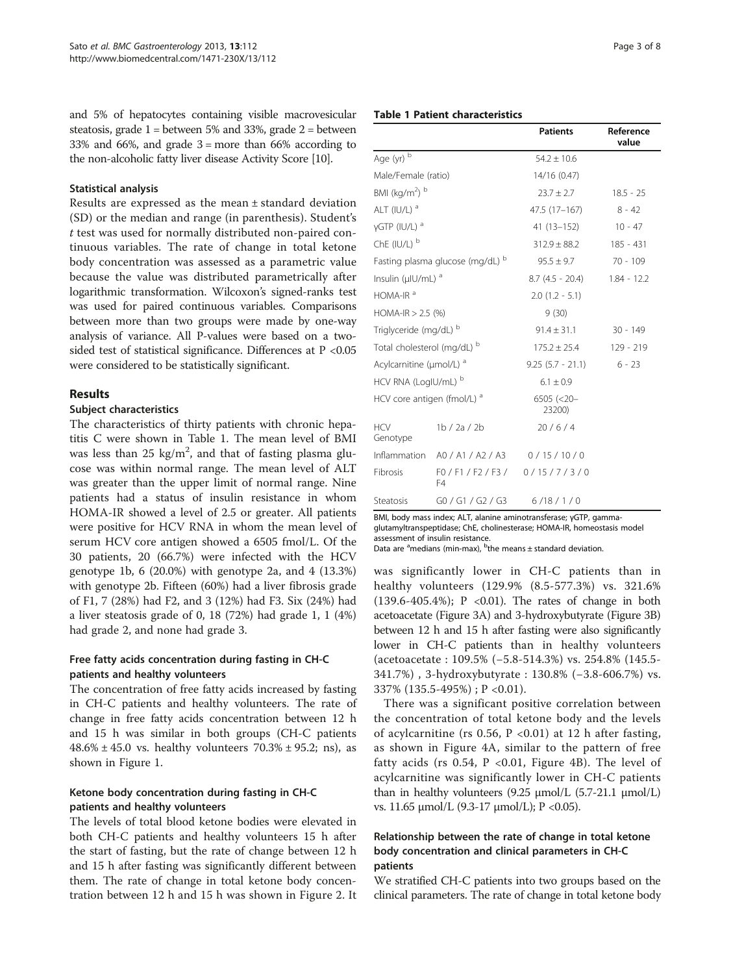and 5% of hepatocytes containing visible macrovesicular steatosis, grade  $1 =$  between 5% and 33%, grade  $2 =$  between 33% and 66%, and grade  $3 =$  more than 66% according to the non-alcoholic fatty liver disease Activity Score [\[10](#page-7-0)].

#### Statistical analysis

Results are expressed as the mean ± standard deviation (SD) or the median and range (in parenthesis). Student's t test was used for normally distributed non-paired continuous variables. The rate of change in total ketone body concentration was assessed as a parametric value because the value was distributed parametrically after logarithmic transformation. Wilcoxon's signed-ranks test was used for paired continuous variables. Comparisons between more than two groups were made by one-way analysis of variance. All P-values were based on a twosided test of statistical significance. Differences at P <0.05 were considered to be statistically significant.

#### Results

#### Subject characteristics

The characteristics of thirty patients with chronic hepatitis C were shown in Table 1. The mean level of BMI was less than 25  $\text{kg/m}^2$ , and that of fasting plasma glucose was within normal range. The mean level of ALT was greater than the upper limit of normal range. Nine patients had a status of insulin resistance in whom HOMA-IR showed a level of 2.5 or greater. All patients were positive for HCV RNA in whom the mean level of serum HCV core antigen showed a 6505 fmol/L. Of the 30 patients, 20 (66.7%) were infected with the HCV genotype 1b, 6 (20.0%) with genotype 2a, and 4 (13.3%) with genotype 2b. Fifteen (60%) had a liver fibrosis grade of F1, 7 (28%) had F2, and 3 (12%) had F3. Six (24%) had a liver steatosis grade of 0, 18 (72%) had grade 1, 1 (4%) had grade 2, and none had grade 3.

## Free fatty acids concentration during fasting in CH-C patients and healthy volunteers

The concentration of free fatty acids increased by fasting in CH-C patients and healthy volunteers. The rate of change in free fatty acids concentration between 12 h and 15 h was similar in both groups (CH-C patients 48.6% ± 45.0 vs. healthy volunteers 70.3% ± 95.2; ns), as shown in Figure [1.](#page-3-0)

## Ketone body concentration during fasting in CH-C patients and healthy volunteers

The levels of total blood ketone bodies were elevated in both CH-C patients and healthy volunteers 15 h after the start of fasting, but the rate of change between 12 h and 15 h after fasting was significantly different between them. The rate of change in total ketone body concentration between 12 h and 15 h was shown in Figure [2.](#page-3-0) It

#### Table 1 Patient characteristics

|                                        |                                  | <b>Patients</b>          | Reference<br>value |
|----------------------------------------|----------------------------------|--------------------------|--------------------|
| Age (yr) b                             |                                  | $54.2 \pm 10.6$          |                    |
| Male/Female (ratio)                    |                                  | 14/16 (0.47)             |                    |
| BMI ( $\text{kg/m}^2$ ) <sup>b</sup>   |                                  | $23.7 \pm 2.7$           | $18.5 - 25$        |
| ALT (IU/L) $^a$                        |                                  | 47.5 (17-167)            | $8 - 42$           |
| γGTP (IU/L) <sup>a</sup>               |                                  | 41 (13-152)              | $10 - 47$          |
| ChE (IU/L) $b$                         |                                  | $312.9 \pm 88.2$         | 185 - 431          |
| Fasting plasma glucose (mg/dL) b       |                                  | $95.5 \pm 9.7$           | $70 - 109$         |
| Insulin ( $\mu$ IU/mL) <sup>a</sup>    |                                  | 8.7 (4.5 - 20.4)         | $1.84 - 12.2$      |
| HOMA-IR <sup>a</sup>                   |                                  | $2.0$ (1.2 - 5.1)        |                    |
| $HOMA-IR > 2.5$ (%)                    |                                  | 9(30)                    |                    |
| Triglyceride (mg/dL) b                 |                                  | $91.4 \pm 31.1$          | $30 - 149$         |
| Total cholesterol (mg/dL) b            |                                  | $175.2 \pm 25.4$         | $129 - 219$        |
| Acylcarnitine (µmol/L) <sup>a</sup>    |                                  | $9.25(5.7 - 21.1)$       | $6 - 23$           |
| HCV RNA (LogIU/mL) b                   |                                  | $6.1 \pm 0.9$            |                    |
| HCV core antigen (fmol/L) <sup>a</sup> |                                  | $6505 (< 20 -$<br>23200) |                    |
| <b>HCV</b><br>Genotype                 | $1b$ / 2a / 2b                   | 20/6/4                   |                    |
|                                        | Inflammation $A0 / A1 / A2 / A3$ | 0/15/10/0                |                    |
| Fibrosis                               | FO / F1 / F2 / F3 /<br>F4        | 0/15/7/3/0               |                    |
| Steatosis                              | GO / G1 / G2 / G3                | 6/18/1/0                 |                    |

BMI, body mass index; ALT, alanine aminotransferase; γGTP, gammaglutamyltranspeptidase; ChE, cholinesterase; HOMA-IR, homeostasis model assessment of insulin resistance.

Data are <sup>a</sup>medians (min-max), <sup>b</sup>the means  $\pm$  standard deviation.

was significantly lower in CH-C patients than in healthy volunteers (129.9% (8.5-577.3%) vs. 321.6%  $(139.6-405.4%)$ ; P <0.01). The rates of change in both acetoacetate (Figure [3](#page-4-0)A) and 3-hydroxybutyrate (Figure [3B](#page-4-0)) between 12 h and 15 h after fasting were also significantly lower in CH-C patients than in healthy volunteers (acetoacetate : 109.5% (−5.8-514.3%) vs. 254.8% (145.5- 341.7%) , 3-hydroxybutyrate : 130.8% (−3.8-606.7%) vs. 337% (135.5-495%) ; P <0.01).

There was a significant positive correlation between the concentration of total ketone body and the levels of acylcarnitine (rs 0.56, P <0.01) at 12 h after fasting, as shown in Figure [4A](#page-4-0), similar to the pattern of free fatty acids (rs  $0.54$ ,  $P \le 0.01$ , Figure [4B](#page-4-0)). The level of acylcarnitine was significantly lower in CH-C patients than in healthy volunteers (9.25 μmol/L (5.7-21.1 μmol/L) vs. 11.65 μmol/L (9.3-17 μmol/L); P <0.05).

### Relationship between the rate of change in total ketone body concentration and clinical parameters in CH-C patients

We stratified CH-C patients into two groups based on the clinical parameters. The rate of change in total ketone body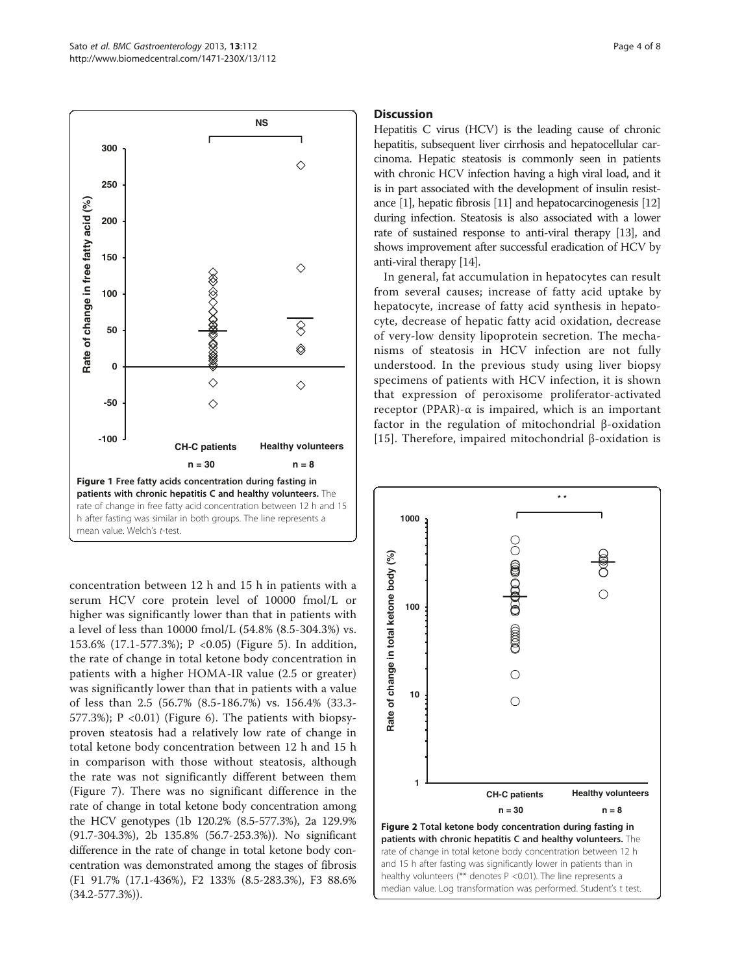<span id="page-3-0"></span>

concentration between 12 h and 15 h in patients with a serum HCV core protein level of 10000 fmol/L or higher was significantly lower than that in patients with a level of less than 10000 fmol/L (54.8% (8.5-304.3%) vs. 153.6% (17.1-577.3%); P <0.05) (Figure [5](#page-5-0)). In addition, the rate of change in total ketone body concentration in patients with a higher HOMA-IR value (2.5 or greater) was significantly lower than that in patients with a value of less than 2.5 (56.7% (8.5-186.7%) vs. 156.4% (33.3- 577.3%);  $P < 0.01$ ) (Figure [6](#page-5-0)). The patients with biopsyproven steatosis had a relatively low rate of change in total ketone body concentration between 12 h and 15 h in comparison with those without steatosis, although the rate was not significantly different between them (Figure [7\)](#page-6-0). There was no significant difference in the rate of change in total ketone body concentration among the HCV genotypes (1b 120.2% (8.5-577.3%), 2a 129.9% (91.7-304.3%), 2b 135.8% (56.7-253.3%)). No significant difference in the rate of change in total ketone body concentration was demonstrated among the stages of fibrosis (F1 91.7% (17.1-436%), F2 133% (8.5-283.3%), F3 88.6% (34.2-577.3%)).

#### **Discussion**

Hepatitis C virus (HCV) is the leading cause of chronic hepatitis, subsequent liver cirrhosis and hepatocellular carcinoma. Hepatic steatosis is commonly seen in patients with chronic HCV infection having a high viral load, and it is in part associated with the development of insulin resistance [\[1](#page-7-0)], hepatic fibrosis [\[11\]](#page-7-0) and hepatocarcinogenesis [\[12](#page-7-0)] during infection. Steatosis is also associated with a lower rate of sustained response to anti-viral therapy [\[13](#page-7-0)], and shows improvement after successful eradication of HCV by anti-viral therapy [\[14\]](#page-7-0).

In general, fat accumulation in hepatocytes can result from several causes; increase of fatty acid uptake by hepatocyte, increase of fatty acid synthesis in hepatocyte, decrease of hepatic fatty acid oxidation, decrease of very-low density lipoprotein secretion. The mechanisms of steatosis in HCV infection are not fully understood. In the previous study using liver biopsy specimens of patients with HCV infection, it is shown that expression of peroxisome proliferator-activated receptor (PPAR)- $\alpha$  is impaired, which is an important factor in the regulation of mitochondrial β-oxidation [[15](#page-7-0)]. Therefore, impaired mitochondrial β-oxidation is

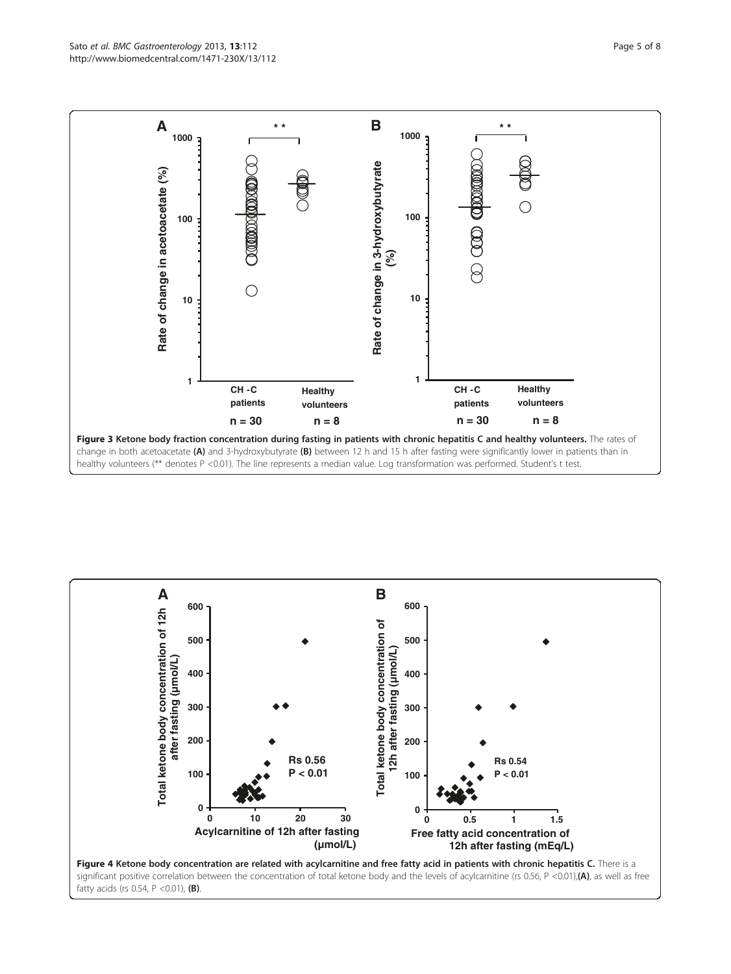<span id="page-4-0"></span>

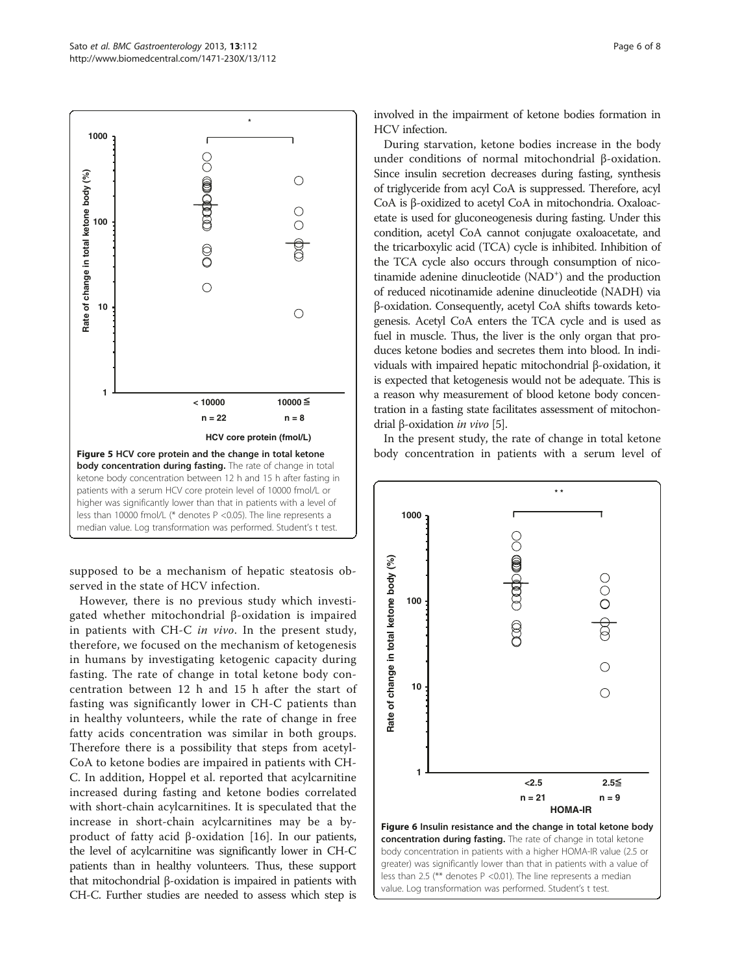<span id="page-5-0"></span>

supposed to be a mechanism of hepatic steatosis observed in the state of HCV infection.

However, there is no previous study which investigated whether mitochondrial β-oxidation is impaired in patients with CH-C in vivo. In the present study, therefore, we focused on the mechanism of ketogenesis in humans by investigating ketogenic capacity during fasting. The rate of change in total ketone body concentration between 12 h and 15 h after the start of fasting was significantly lower in CH-C patients than in healthy volunteers, while the rate of change in free fatty acids concentration was similar in both groups. Therefore there is a possibility that steps from acetyl-CoA to ketone bodies are impaired in patients with CH-C. In addition, Hoppel et al. reported that acylcarnitine increased during fasting and ketone bodies correlated with short-chain acylcarnitines. It is speculated that the increase in short-chain acylcarnitines may be a byproduct of fatty acid β-oxidation [[16\]](#page-7-0). In our patients, the level of acylcarnitine was significantly lower in CH-C patients than in healthy volunteers. Thus, these support that mitochondrial β-oxidation is impaired in patients with CH-C. Further studies are needed to assess which step is involved in the impairment of ketone bodies formation in HCV infection.

During starvation, ketone bodies increase in the body under conditions of normal mitochondrial β-oxidation. Since insulin secretion decreases during fasting, synthesis of triglyceride from acyl CoA is suppressed. Therefore, acyl CoA is β-oxidized to acetyl CoA in mitochondria. Oxaloacetate is used for gluconeogenesis during fasting. Under this condition, acetyl CoA cannot conjugate oxaloacetate, and the tricarboxylic acid (TCA) cycle is inhibited. Inhibition of the TCA cycle also occurs through consumption of nicotinamide adenine dinucleotide (NAD<sup>+</sup>) and the production of reduced nicotinamide adenine dinucleotide (NADH) via β-oxidation. Consequently, acetyl CoA shifts towards ketogenesis. Acetyl CoA enters the TCA cycle and is used as fuel in muscle. Thus, the liver is the only organ that produces ketone bodies and secretes them into blood. In individuals with impaired hepatic mitochondrial β-oxidation, it is expected that ketogenesis would not be adequate. This is a reason why measurement of blood ketone body concentration in a fasting state facilitates assessment of mitochondrial β-oxidation in vivo [\[5\]](#page-7-0).

In the present study, the rate of change in total ketone body concentration in patients with a serum level of



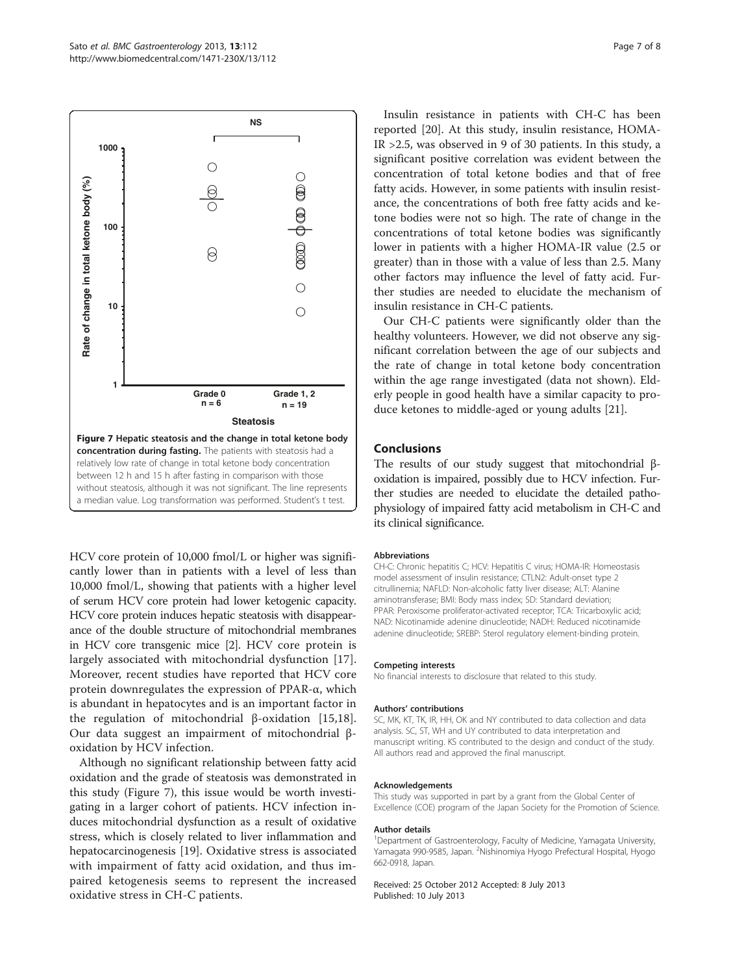<span id="page-6-0"></span>

HCV core protein of 10,000 fmol/L or higher was significantly lower than in patients with a level of less than 10,000 fmol/L, showing that patients with a higher level of serum HCV core protein had lower ketogenic capacity. HCV core protein induces hepatic steatosis with disappearance of the double structure of mitochondrial membranes in HCV core transgenic mice [\[2](#page-7-0)]. HCV core protein is largely associated with mitochondrial dysfunction [[17](#page-7-0)]. Moreover, recent studies have reported that HCV core protein downregulates the expression of PPAR-α, which is abundant in hepatocytes and is an important factor in the regulation of mitochondrial β-oxidation [[15,18](#page-7-0)]. Our data suggest an impairment of mitochondrial βoxidation by HCV infection.

Although no significant relationship between fatty acid oxidation and the grade of steatosis was demonstrated in this study (Figure 7), this issue would be worth investigating in a larger cohort of patients. HCV infection induces mitochondrial dysfunction as a result of oxidative stress, which is closely related to liver inflammation and hepatocarcinogenesis [[19\]](#page-7-0). Oxidative stress is associated with impairment of fatty acid oxidation, and thus impaired ketogenesis seems to represent the increased oxidative stress in CH-C patients.

Insulin resistance in patients with CH-C has been reported [[20](#page-7-0)]. At this study, insulin resistance, HOMA-IR >2.5, was observed in 9 of 30 patients. In this study, a significant positive correlation was evident between the concentration of total ketone bodies and that of free fatty acids. However, in some patients with insulin resistance, the concentrations of both free fatty acids and ketone bodies were not so high. The rate of change in the concentrations of total ketone bodies was significantly lower in patients with a higher HOMA-IR value (2.5 or greater) than in those with a value of less than 2.5. Many other factors may influence the level of fatty acid. Further studies are needed to elucidate the mechanism of insulin resistance in CH-C patients.

Our CH-C patients were significantly older than the healthy volunteers. However, we did not observe any significant correlation between the age of our subjects and the rate of change in total ketone body concentration within the age range investigated (data not shown). Elderly people in good health have a similar capacity to produce ketones to middle-aged or young adults [[21\]](#page-7-0).

## Conclusions

The results of our study suggest that mitochondrial βoxidation is impaired, possibly due to HCV infection. Further studies are needed to elucidate the detailed pathophysiology of impaired fatty acid metabolism in CH-C and its clinical significance.

#### Abbreviations

CH-C: Chronic hepatitis C; HCV: Hepatitis C virus; HOMA-IR: Homeostasis model assessment of insulin resistance; CTLN2: Adult-onset type 2 citrullinemia; NAFLD: Non-alcoholic fatty liver disease; ALT: Alanine aminotransferase; BMI: Body mass index; SD: Standard deviation; PPAR: Peroxisome proliferator-activated receptor; TCA: Tricarboxylic acid; NAD: Nicotinamide adenine dinucleotide; NADH: Reduced nicotinamide adenine dinucleotide; SREBP: Sterol regulatory element-binding protein.

#### Competing interests

No financial interests to disclosure that related to this study.

#### Authors' contributions

SC, MK, KT, TK, IR, HH, OK and NY contributed to data collection and data analysis. SC, ST, WH and UY contributed to data interpretation and manuscript writing. KS contributed to the design and conduct of the study. All authors read and approved the final manuscript.

#### Acknowledgements

This study was supported in part by a grant from the Global Center of Excellence (COE) program of the Japan Society for the Promotion of Science.

#### Author details

<sup>1</sup>Department of Gastroenterology, Faculty of Medicine, Yamagata University, Yamagata 990-9585, Japan. <sup>2</sup>Nishinomiya Hyogo Prefectural Hospital, Hyogo 662-0918, Japan.

Received: 25 October 2012 Accepted: 8 July 2013 Published: 10 July 2013